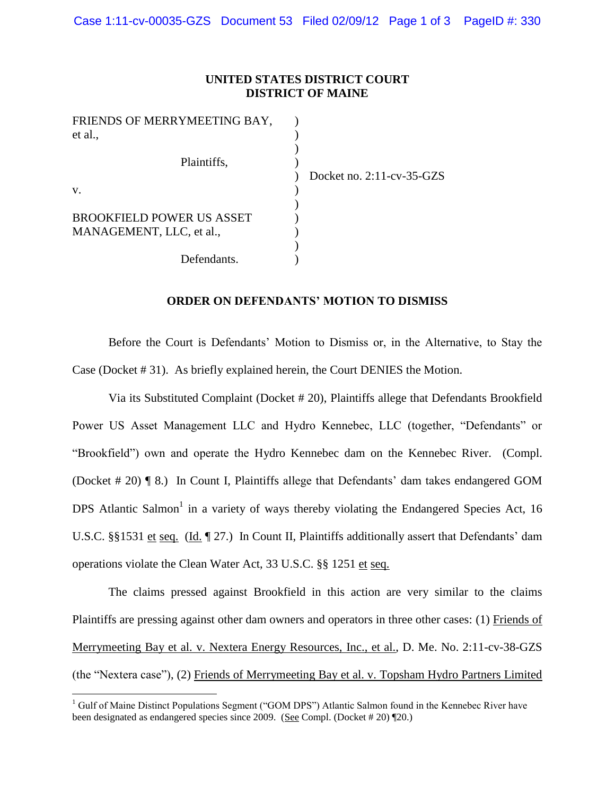## **UNITED STATES DISTRICT COURT DISTRICT OF MAINE**

| FRIENDS OF MERRYMEETING BAY,     |                           |
|----------------------------------|---------------------------|
| et al.,                          |                           |
| Plaintiffs,                      |                           |
|                                  | Docket no. 2:11-cv-35-GZS |
| V.                               |                           |
| <b>BROOKFIELD POWER US ASSET</b> |                           |
| MANAGEMENT, LLC, et al.,         |                           |
|                                  |                           |
| Defendants.                      |                           |

## **ORDER ON DEFENDANTS' MOTION TO DISMISS**

Before the Court is Defendants' Motion to Dismiss or, in the Alternative, to Stay the Case (Docket # 31). As briefly explained herein, the Court DENIES the Motion.

Via its Substituted Complaint (Docket # 20), Plaintiffs allege that Defendants Brookfield Power US Asset Management LLC and Hydro Kennebec, LLC (together, "Defendants" or "Brookfield") own and operate the Hydro Kennebec dam on the Kennebec River. (Compl. (Docket # 20) ¶ 8.) In Count I, Plaintiffs allege that Defendants' dam takes endangered GOM DPS Atlantic Salmon<sup>1</sup> in a variety of ways thereby violating the Endangered Species Act, 16 U.S.C. §§1531 et seq. (Id. ¶ 27.) In Count II, Plaintiffs additionally assert that Defendants' dam operations violate the Clean Water Act, 33 U.S.C. §§ 1251 et seq.

The claims pressed against Brookfield in this action are very similar to the claims Plaintiffs are pressing against other dam owners and operators in three other cases: (1) Friends of Merrymeeting Bay et al. v. Nextera Energy Resources, Inc., et al., D. Me. No. 2:11-cv-38-GZS (the "Nextera case"), (2) Friends of Merrymeeting Bay et al. v. Topsham Hydro Partners Limited

 $\overline{a}$ 

 $1$  Gulf of Maine Distinct Populations Segment ("GOM DPS") Atlantic Salmon found in the Kennebec River have been designated as endangered species since 2009. (See Compl. (Docket # 20) ¶20.)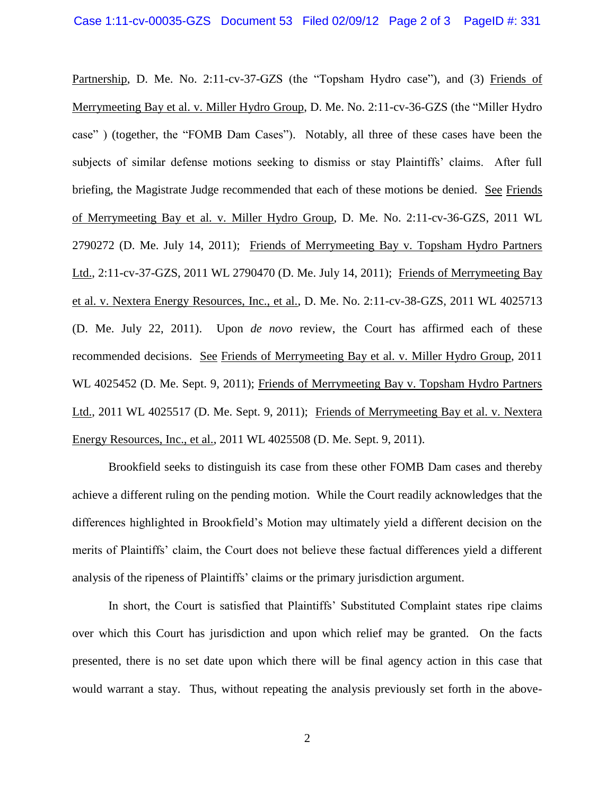Partnership, D. Me. No. 2:11-cv-37-GZS (the "Topsham Hydro case"), and (3) Friends of Merrymeeting Bay et al. v. Miller Hydro Group, D. Me. No. 2:11-cv-36-GZS (the "Miller Hydro case" ) (together, the "FOMB Dam Cases"). Notably, all three of these cases have been the subjects of similar defense motions seeking to dismiss or stay Plaintiffs' claims. After full briefing, the Magistrate Judge recommended that each of these motions be denied. See Friends of Merrymeeting Bay et al. v. Miller Hydro Group, D. Me. No. 2:11-cv-36-GZS, 2011 WL 2790272 (D. Me. July 14, 2011); Friends of Merrymeeting Bay v. Topsham Hydro Partners Ltd., 2:11-cv-37-GZS, 2011 WL 2790470 (D. Me. July 14, 2011); Friends of Merrymeeting Bay et al. v. Nextera Energy Resources, Inc., et al., D. Me. No. 2:11-cv-38-GZS, 2011 WL 4025713 (D. Me. July 22, 2011). Upon *de novo* review, the Court has affirmed each of these recommended decisions. See Friends of Merrymeeting Bay et al. v. Miller Hydro Group, 2011 WL 4025452 (D. Me. Sept. 9, 2011); Friends of Merrymeeting Bay v. Topsham Hydro Partners Ltd., 2011 WL 4025517 (D. Me. Sept. 9, 2011); Friends of Merrymeeting Bay et al. v. Nextera Energy Resources, Inc., et al., 2011 WL 4025508 (D. Me. Sept. 9, 2011).

Brookfield seeks to distinguish its case from these other FOMB Dam cases and thereby achieve a different ruling on the pending motion. While the Court readily acknowledges that the differences highlighted in Brookfield's Motion may ultimately yield a different decision on the merits of Plaintiffs' claim, the Court does not believe these factual differences yield a different analysis of the ripeness of Plaintiffs' claims or the primary jurisdiction argument.

In short, the Court is satisfied that Plaintiffs' Substituted Complaint states ripe claims over which this Court has jurisdiction and upon which relief may be granted. On the facts presented, there is no set date upon which there will be final agency action in this case that would warrant a stay. Thus, without repeating the analysis previously set forth in the above